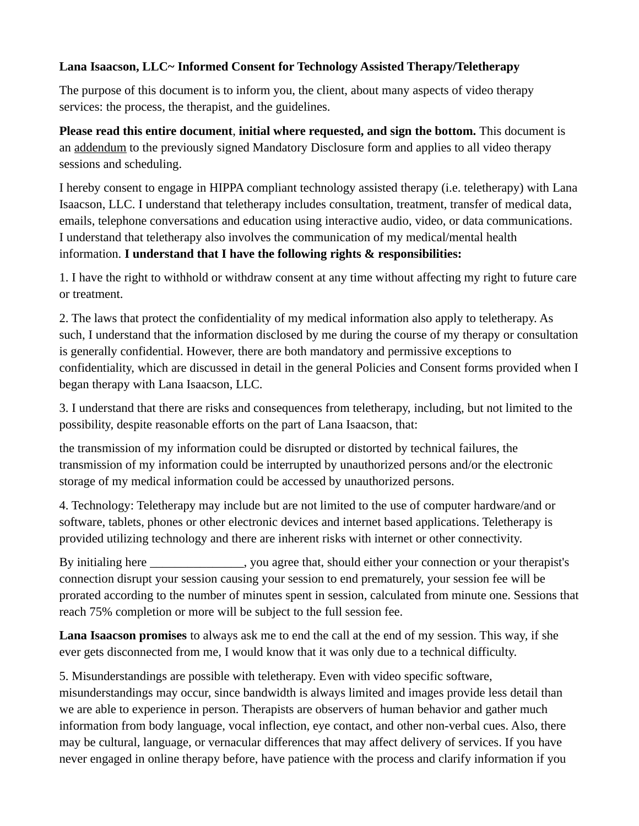## **Lana Isaacson, LLC~ Informed Consent for Technology Assisted Therapy/Teletherapy**

The purpose of this document is to inform you, the client, about many aspects of video therapy services: the process, the therapist, and the guidelines.

**Please read this entire document**, **initial where requested, and sign the bottom.** This document is an addendum to the previously signed Mandatory Disclosure form and applies to all video therapy sessions and scheduling.

I hereby consent to engage in HIPPA compliant technology assisted therapy (i.e. teletherapy) with Lana Isaacson, LLC. I understand that teletherapy includes consultation, treatment, transfer of medical data, emails, telephone conversations and education using interactive audio, video, or data communications. I understand that teletherapy also involves the communication of my medical/mental health information. **I understand that I have the following rights & responsibilities:**

1. I have the right to withhold or withdraw consent at any time without affecting my right to future care or treatment.

2. The laws that protect the confidentiality of my medical information also apply to teletherapy. As such, I understand that the information disclosed by me during the course of my therapy or consultation is generally confidential. However, there are both mandatory and permissive exceptions to confidentiality, which are discussed in detail in the general Policies and Consent forms provided when I began therapy with Lana Isaacson, LLC.

3. I understand that there are risks and consequences from teletherapy, including, but not limited to the possibility, despite reasonable efforts on the part of Lana Isaacson, that:

the transmission of my information could be disrupted or distorted by technical failures, the transmission of my information could be interrupted by unauthorized persons and/or the electronic storage of my medical information could be accessed by unauthorized persons.

4. Technology: Teletherapy may include but are not limited to the use of computer hardware/and or software, tablets, phones or other electronic devices and internet based applications. Teletherapy is provided utilizing technology and there are inherent risks with internet or other connectivity.

By initialing here \_\_\_\_\_\_\_\_\_\_\_\_\_\_, you agree that, should either your connection or your therapist's connection disrupt your session causing your session to end prematurely, your session fee will be prorated according to the number of minutes spent in session, calculated from minute one. Sessions that reach 75% completion or more will be subject to the full session fee.

**Lana Isaacson promises** to always ask me to end the call at the end of my session. This way, if she ever gets disconnected from me, I would know that it was only due to a technical difficulty.

5. Misunderstandings are possible with teletherapy. Even with video specific software, misunderstandings may occur, since bandwidth is always limited and images provide less detail than we are able to experience in person. Therapists are observers of human behavior and gather much information from body language, vocal inflection, eye contact, and other non-verbal cues. Also, there may be cultural, language, or vernacular differences that may affect delivery of services. If you have never engaged in online therapy before, have patience with the process and clarify information if you